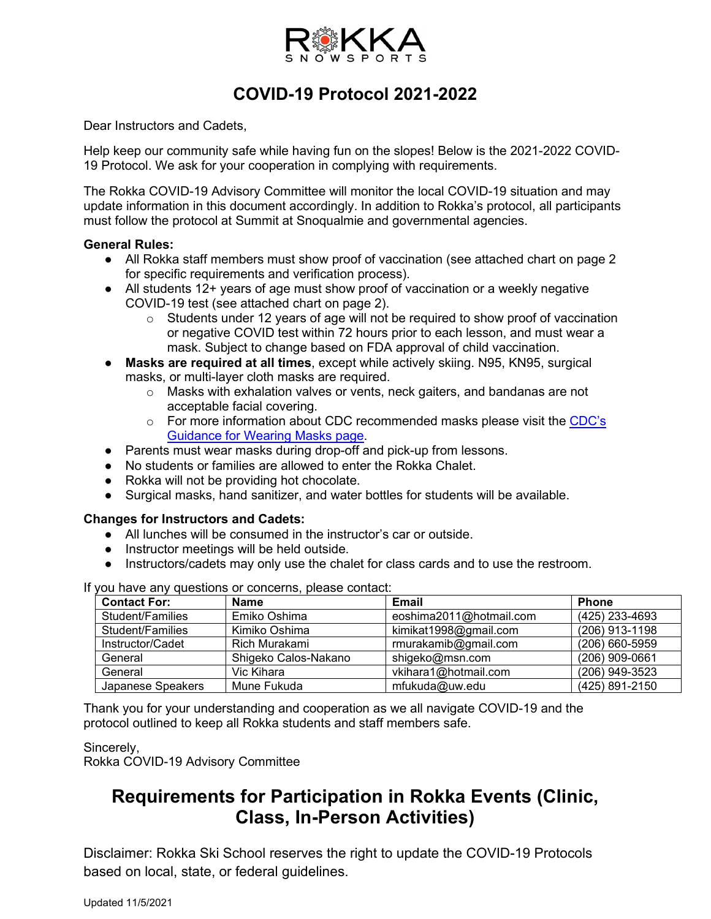

## **COVID-19 Protocol 2021-2022**

Dear Instructors and Cadets,

Help keep our community safe while having fun on the slopes! Below is the 2021-2022 COVID-19 Protocol. We ask for your cooperation in complying with requirements.

The Rokka COVID-19 Advisory Committee will monitor the local COVID-19 situation and may update information in this document accordingly. In addition to Rokka's protocol, all participants must follow the protocol at Summit at Snoqualmie and governmental agencies.

#### **General Rules:**

- All Rokka staff members must show proof of vaccination (see attached chart on page 2) for specific requirements and verification process).
- All students 12+ years of age must show proof of vaccination or a weekly negative COVID-19 test (see attached chart on page 2).
	- $\circ$  Students under 12 years of age will not be required to show proof of vaccination or negative COVID test within 72 hours prior to each lesson, and must wear a mask. Subject to change based on FDA approval of child vaccination.
- **Masks are required at all times**, except while actively skiing. N95, KN95, surgical masks, or multi-layer cloth masks are required.
	- $\circ$  Masks with exhalation valves or vents, neck gaiters, and bandanas are not acceptable facial covering.
	- o For more information about CDC recommended masks please visit the CDC's [Guidance for Wearing Masks page.](https://www.cdc.gov/coronavirus/2019-ncov/prevent-getting-sick/cloth-face-cover-guidance.html#anchor_1604966572663)
- Parents must wear masks during drop-off and pick-up from lessons.
- No students or families are allowed to enter the Rokka Chalet.
- Rokka will not be providing hot chocolate.
- Surgical masks, hand sanitizer, and water bottles for students will be available.

#### **Changes for Instructors and Cadets:**

- All lunches will be consumed in the instructor's car or outside.
- Instructor meetings will be held outside.
- Instructors/cadets may only use the chalet for class cards and to use the restroom.

If you have any questions or concerns, please contact:

| <b>Contact For:</b> | <b>Name</b>          | Email                   | <b>Phone</b>   |
|---------------------|----------------------|-------------------------|----------------|
| Student/Families    | Emiko Oshima         | eoshima2011@hotmail.com | (425) 233-4693 |
| Student/Families    | Kimiko Oshima        | kimikat1998@gmail.com   | (206) 913-1198 |
| Instructor/Cadet    | Rich Murakami        | rmurakamib@gmail.com    | (206) 660-5959 |
| General             | Shigeko Calos-Nakano | shigeko@msn.com         | (206) 909-0661 |
| General             | Vic Kihara           | vkihara1@hotmail.com    | (206) 949-3523 |
| Japanese Speakers   | Mune Fukuda          | mfukuda@uw.edu          | (425) 891-2150 |

Thank you for your understanding and cooperation as we all navigate COVID-19 and the protocol outlined to keep all Rokka students and staff members safe.

#### Sincerely, Rokka COVID-19 Advisory Committee

# **Requirements for Participation in Rokka Events (Clinic, Class, In-Person Activities)**

Disclaimer: Rokka Ski School reserves the right to update the COVID-19 Protocols based on local, state, or federal guidelines.